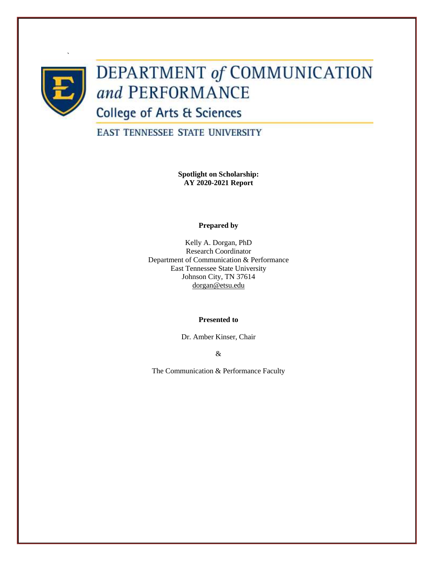

`

# **DEPARTMENT of COMMUNICATION** and PERFORMANCE

**College of Arts & Sciences** 

**EAST TENNESSEE STATE UNIVERSITY** 

**Spotlight on Scholarship: AY 2020-2021 Report**

# **Prepared by**

Kelly A. Dorgan, PhD Research Coordinator Department of Communication & Performance East Tennessee State University Johnson City, TN 37614 [dorgan@etsu.edu](mailto:dorgan@etsu.edu)

# **Presented to**

Dr. Amber Kinser, Chair

&

The Communication & Performance Faculty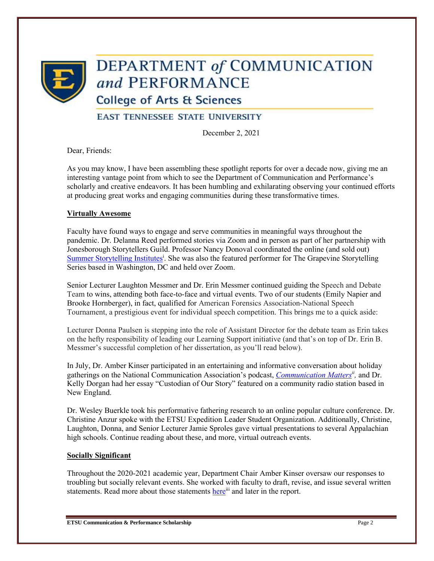

# **DEPARTMENT of COMMUNICATION** and PERFORMANCE

**College of Arts & Sciences** 

**EAST TENNESSEE STATE UNIVERSITY** 

December 2, 2021

Dear, Friends:

As you may know, I have been assembling these spotlight reports for over a decade now, giving me an interesting vantage point from which to see the Department of Communication and Performance's scholarly and creative endeavors. It has been humbling and exhilarating observing your continued efforts at producing great works and engaging communities during these transformative times.

# **Virtually Awesome**

Faculty have found ways to engage and serve communities in meaningful ways throughout the pandemic. Dr. Delanna Reed performed stories via Zoom and in person as part of her partnership with Jonesborough Storytellers Guild. Professor Nancy Donoval coordinated the online (and sold out) [Summer Storytelling Institutes](https://www.etsu.edu/cas/comm_perform/academics/storytelling.php)<sup>i</sup>. She was also the featured performer for The Grapevine Storytelling Series based in Washington, DC and held over Zoom.

Senior Lecturer Laughton Messmer and Dr. Erin Messmer continued guiding the Speech and Debate Team to wins, attending both face-to-face and virtual events. Two of our students (Emily Napier and Brooke Hornberger), in fact, qualified for American Forensics Association-National Speech Tournament, a prestigious event for individual speech competition. This brings me to a quick aside:

Lecturer Donna Paulsen is stepping into the role of Assistant Director for the debate team as Erin takes on the hefty responsibility of leading our Learning Support initiative (and that's on top of Dr. Erin B. Messmer's successful completion of her dissertation, as you'll read below).

In July, Dr. Amber Kinser participated in an entertaining and informative conversation about holiday gatherings on the National Communication Association's podcast, *[Communication Matters](https://natcompodcast.podbean.com/e/fourth-of-july-1624919980/?fbclid=IwAR3nWe10O7HoI_miHrMPfWYGOMy47SAAjffTGD4tF8Yxqcl-6CgiRCAV2YA)ii ,* and Dr. Kelly Dorgan had her essay "Custodian of Our Story" featured on a community radio station based in New England.

Dr. Wesley Buerkle took his performative fathering research to an online popular culture conference. Dr. Christine Anzur spoke with the ETSU Expedition Leader Student Organization. Additionally, Christine, Laughton, Donna, and Senior Lecturer Jamie Sproles gave virtual presentations to several Appalachian high schools. Continue reading about these, and more, virtual outreach events.

# **Socially Significant**

Throughout the 2020-2021 academic year, Department Chair Amber Kinser oversaw our responses to troubling but socially relevant events. She worked with faculty to draft, revise, and issue several written statements. Read more about those statements [here](https://www.etsu.edu/cas/comm_perform/dept_news.php)<sup>iii</sup> and later in the report.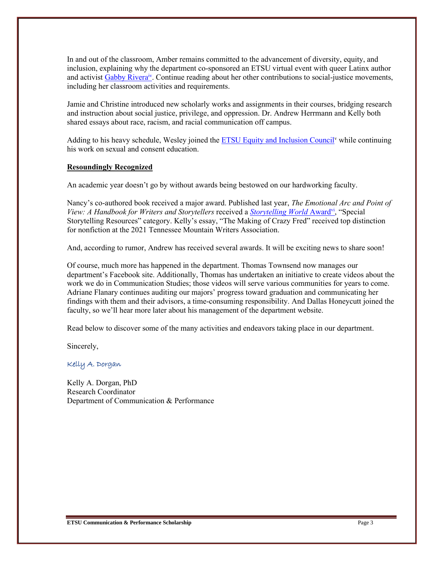In and out of the classroom, Amber remains committed to the advancement of diversity, equity, and inclusion, explaining why the department co-sponsored an ETSU virtual event with queer Latinx author and activis[t Gabby Rivera](https://gabbyrivera.com/)<sup>iv</sup>. Continue reading about her other contributions to social-justice movements, including her classroom activities and requirements.

Jamie and Christine introduced new scholarly works and assignments in their courses, bridging research and instruction about social justice, privilege, and oppression. Dr. Andrew Herrmann and Kelly both shared essays about race, racism, and racial communication off campus.

Adding to his heavy schedule, Wesley joined the **ETSU Equity and Inclusion Council**<sup>v</sup> while continuing his work on sexual and consent education.

# **Resoundingly Recognized**

An academic year doesn't go by without awards being bestowed on our hardworking faculty.

Nancy's co-authored book received a major award. Published last year, *The Emotional Arc and Point of View: A Handbook for Writers and Storytellers* received a *[Storytelling World](https://storytellingworld.com/2021/)* Award<sup>vi</sup>, "Special Storytelling Resources" category. Kelly's essay, "The Making of Crazy Fred" received top distinction for nonfiction at the 2021 Tennessee Mountain Writers Association.

And, according to rumor, Andrew has received several awards. It will be exciting news to share soon!

Of course, much more has happened in the department. Thomas Townsend now manages our department's Facebook site. Additionally, Thomas has undertaken an initiative to create videos about the work we do in Communication Studies; those videos will serve various communities for years to come. Adriane Flanary continues auditing our majors' progress toward graduation and communicating her findings with them and their advisors, a time-consuming responsibility. And Dallas Honeycutt joined the faculty, so we'll hear more later about his management of the department website.

Read below to discover some of the many activities and endeavors taking place in our department.

Sincerely,

Kelly A. Dorgan

Kelly A. Dorgan, PhD Research Coordinator Department of Communication & Performance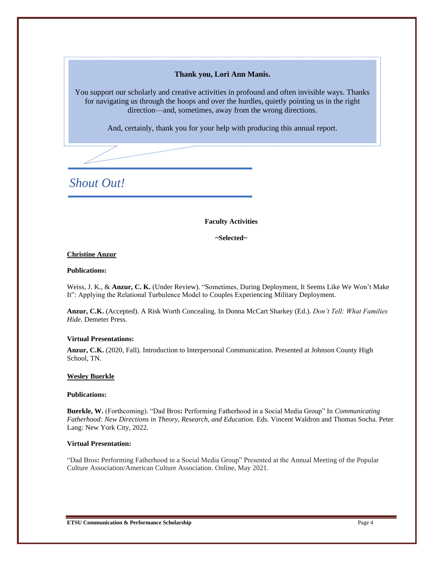# **Thank you, Lori Ann Manis.**

You support our scholarly and creative activities in profound and often invisible ways. Thanks for navigating us through the hoops and over the hurdles, quietly pointing us in the right direction—and, sometimes, away from the wrong directions.

And, certainly, thank you for your help with producing this annual report.

*Shout Out!*

**Faculty Activities**

**~Selected~**

## **Christine Anzur**

#### **Publications:**

Weiss, J. K., & **Anzur, C. K.** (Under Review). "Sometimes, During Deployment, It Seems Like We Won't Make It": Applying the Relational Turbulence Model to Couples Experiencing Military Deployment.

**Anzur, C.K.** (Accepted). A Risk Worth Concealing. In Donna McCart Sharkey (Ed.). *Don't Tell: What Families Hide*. Demeter Press.

#### **Virtual Presentations:**

**Anzur, C.K.** (2020, Fall). Introduction to Interpersonal Communication. Presented at Johnson County High School, TN.

#### **Wesley Buerkle**

#### **Publications:**

**Buerkle, W.** (Forthcoming). "Dad Bros**:** Performing Fatherhood in a Social Media Group" In *Communicating Fatherhood: New Directions in Theory, Research, and Education.* Eds. Vincent Waldron and Thomas Socha. Peter Lang: New York City, 2022.

## **Virtual Presentation:**

"Dad Bros**:** Performing Fatherhood in a Social Media Group" Presented at the Annual Meeting of the Popular Culture Association/American Culture Association. Online, May 2021.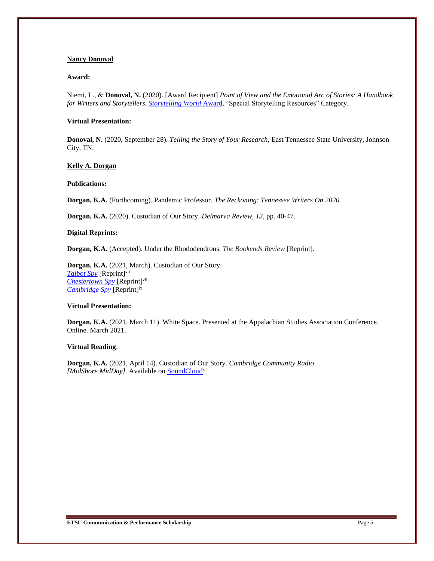#### **Nancy Donoval**

#### **Award:**

Niemi, L., & **Donoval, N.** (2020). [Award Recipient] *Point of View and the Emotional Arc of Stories: A Handbook for Writers and Storytellers. [Storytelling World](https://storytellingworld.com/2021/)* Award, "Special Storytelling Resources" Category.

#### **Virtual Presentation:**

**Donoval, N.** (2020, September 28). *Telling the Story of Your Research,* East Tennessee State University, Johnson City, TN.

#### **Kelly A. Dorgan**

#### **Publications:**

**Dorgan, K.A.** (Forthcoming). Pandemic Professor. *The Reckoning: Tennessee Writers On 2020.*

**Dorgan, K.A.** (2020). Custodian of Our Story. *Delmarva Review, 13*, pp. 40-47.

#### **Digital Reprints:**

**Dorgan, K.A.** (Accepted). Under the Rhododendrons. *The Bookends Review* [Reprint].

**Dorgan, K.A.** (2021, March). Custodian of Our Story. *[Talbot Spy](https://talbotspy.org/delmarva-review-custodian-of-our-story-by-kelly-a-dorgan/)* [Reprint]vii *[Chestertown Spy](https://chestertownspy.org/2021/03/27/delmarva-review-custodian-of-our-story-by-kelly-a-dorgan/)* [Reprint]viii *[Cambridge Spy](https://cambridgespy.org/2021/03/27/delmarva-review-custodian-of-our-story-by-kelly-a-dorgan/)* [Reprint]ix

#### **Virtual Presentation:**

**Dorgan, K.A.** (2021, March 11). White Space. Presented at the Appalachian Studies Association Conference. Online. March 2021.

#### **Virtual Reading**:

**Dorgan, K.A.** (2021, April 14). Custodian of Our Story. *Cambridge Community Radio*  [MidShore MidDay]. Available on **[SoundCloud](https://soundcloud.com/whcp-radio/custodian-of-our-story-kelly-a-dorgan-april-2021)**<sup>x</sup>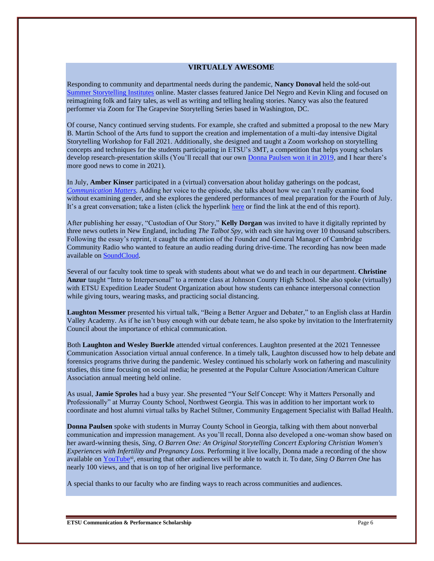### **VIRTUALLY AWESOME**

Responding to community and departmental needs during the pandemic, **Nancy Donoval** held the sold-out [Summer Storytelling Institutes](https://www.etsu.edu/cas/comm_perform/academics/storytelling.php) online. Master classes featured Janice Del Negro and Kevin Kling and focused on reimagining folk and fairy tales, as well as writing and telling healing stories. Nancy was also the featured performer via Zoom for The Grapevine Storytelling Series based in Washington, DC.

Of course, Nancy continued serving students. For example, she crafted and submitted a proposal to the new Mary B. Martin School of the Arts fund to support the creation and implementation of a multi-day intensive Digital Storytelling Workshop for Fall 2021. Additionally, she designed and taught a Zoom workshop on storytelling concepts and techniques for the students participating in ETSU's 3MT, a competition that helps young scholars develop research-presentation skills (You'll recall that our own [Donna Paulsen won it in 2019,](https://www.etsu.edu/etsu-news/2019/12-december/3mt-2019-paulsen.php) and I hear there's more good news to come in 2021).

In July, **Amber Kinser** participated in a (virtual) conversation about holiday gatherings on the podcast, *[Communication Matters.](https://natcompodcast.podbean.com/e/fourth-of-july-1624919980/?fbclid=IwAR3nWe10O7HoI_miHrMPfWYGOMy47SAAjffTGD4tF8Yxqcl-6CgiRCAV2YA)* Adding her voice to the episode, she talks about how we can't really examine food without examining gender, and she explores the gendered performances of meal preparation for the Fourth of July. It's a great conversation; take a listen (click the hyperlink [here](https://natcompodcast.podbean.com/e/fourth-of-july-1624919980/?fbclid=IwAR3nWe10O7HoI_miHrMPfWYGOMy47SAAjffTGD4tF8Yxqcl-6CgiRCAV2YA) or find the link at the end of this report).

After publishing her essay, "Custodian of Our Story," **Kelly Dorgan** was invited to have it digitally reprinted by three news outlets in New England, including *The Talbot Spy,* with each site having over 10 thousand subscribers. Following the essay's reprint, it caught the attention of the Founder and General Manager of Cambridge Community Radio who wanted to feature an audio reading during drive-time. The recording has now been made available o[n SoundCloud.](https://soundcloud.com/whcp-radio/custodian-of-our-story-kelly-a-dorgan-april-2021)

Several of our faculty took time to speak with students about what we do and teach in our department. **Christine Anzur** taught "Intro to Interpersonal" to a remote class at Johnson County High School. She also spoke (virtually) with ETSU Expedition Leader Student Organization about how students can enhance interpersonal connection while giving tours, wearing masks, and practicing social distancing.

**Laughton Messmer** presented his virtual talk, "Being a Better Arguer and Debater," to an English class at Hardin Valley Academy. As if he isn't busy enough with our debate team, he also spoke by invitation to the Interfraternity Council about the importance of ethical communication.

Both **Laughton and Wesley Buerkle** attended virtual conferences. Laughton presented at the 2021 Tennessee Communication Association virtual annual conference. In a timely talk, Laughton discussed how to help debate and forensics programs thrive during the pandemic. Wesley continued his scholarly work on fathering and masculinity studies, this time focusing on social media; he presented at the Popular Culture Association/American Culture Association annual meeting held online.

As usual, **Jamie Sproles** had a busy year. She presented "Your Self Concept: Why it Matters Personally and Professionally" at Murray County School, Northwest Georgia. This was in addition to her important work to coordinate and host alumni virtual talks by Rachel Stiltner, Community Engagement Specialist with Ballad Health.

**Donna Paulsen** spoke with students in Murray County School in Georgia, talking with them about nonverbal communication and impression management. As you'll recall, Donna also developed a one-woman show based on her award-winning thesis, *Sing, O Barren One: An Original Storytelling Concert Exploring Christian Women's Experiences with Infertility and Pregnancy Loss.* Performing it live locally, Donna made a recording of the show available o[n YouTube](https://www.youtube.com/watch?v=rEy0AibmKUg)<sup>xi</sup>, ensuring that other audiences will be able to watch it. To date, *Sing O Barren One* has nearly 100 views, and that is on top of her original live performance.

A special thanks to our faculty who are finding ways to reach across communities and audiences.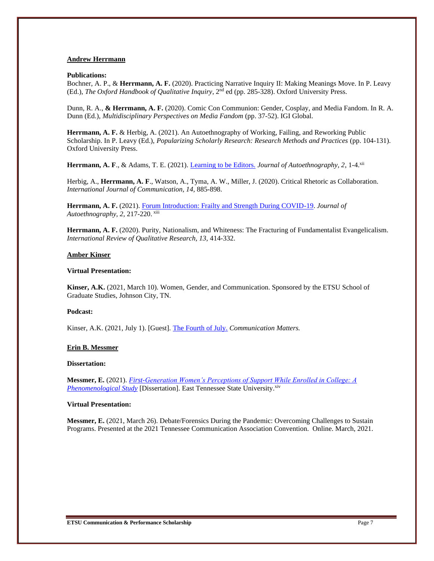#### **Andrew Herrmann**

#### **Publications:**

Bochner, A. P., & **Herrmann, A. F.** (2020). Practicing Narrative Inquiry II: Making Meanings Move. In P. Leavy (Ed.), *The Oxford Handbook of Qualitative Inquiry*, 2nd ed (pp. 285-328). Oxford University Press.

Dunn, R. A., **& Herrmann, A. F.** (2020). Comic Con Communion: Gender, Cosplay, and Media Fandom. In R. A. Dunn (Ed.), *Multidisciplinary Perspectives on Media Fandom* (pp. 37-52). IGI Global.

**Herrmann, A. F.** & Herbig, A. (2021). An Autoethnography of Working, Failing, and Reworking Public Scholarship. In P. Leavy (Ed.), *Popularizing Scholarly Research: Research Methods and Practices* (pp. 104-131). Oxford University Press.

Herrmann, A. F., & Adams, T. E. (2021). *Learning to be Editors. Journal of Autoethnography, 2, 1-4.xii* 

Herbig, A., **Herrmann, A. F**., Watson, A., Tyma, A. W., Miller, J. (2020). Critical Rhetoric as Collaboration. *International Journal of Communication, 14,* 885-898.

**Herrmann, A. F.** (2021). [Forum Introduction: Frailty and Strength During COVID-19.](https://online.ucpress.edu/joae/article/2/2/217/116626/Forum-IntroductionFrailty-and-Strength-During) *Journal of Autoethnography, 2,* 217-220. xiii

**Herrmann, A. F.** (2020). Purity, Nationalism, and Whiteness: The Fracturing of Fundamentalist Evangelicalism. *International Review of Qualitative Research, 13,* 414-332.

#### **Amber Kinser**

#### **Virtual Presentation:**

**Kinser, A.K.** (2021, March 10). Women, Gender, and Communication. Sponsored by the ETSU School of Graduate Studies, Johnson City, TN.

#### **Podcast:**

Kinser, A.K. (2021, July 1). [Guest]. [The Fourth of July.](https://www.natcom.org/ncapodcast) *Communication Matters.*

#### **Erin B. Messmer**

#### **Dissertation:**

**Messmer, E.** (2021). *[First-Generation Women's Perceptions of Support While Enrolled in College: A](https://dc.etsu.edu/etd/3877/)*  **[Phenomenological Study](https://dc.etsu.edu/etd/3877/) [Dissertation]. East Tennessee State University.**<sup>xiv</sup>

#### **Virtual Presentation:**

**Messmer, E.** (2021, March 26). Debate/Forensics During the Pandemic: Overcoming Challenges to Sustain Programs. Presented at the 2021 Tennessee Communication Association Convention. Online. March, 2021.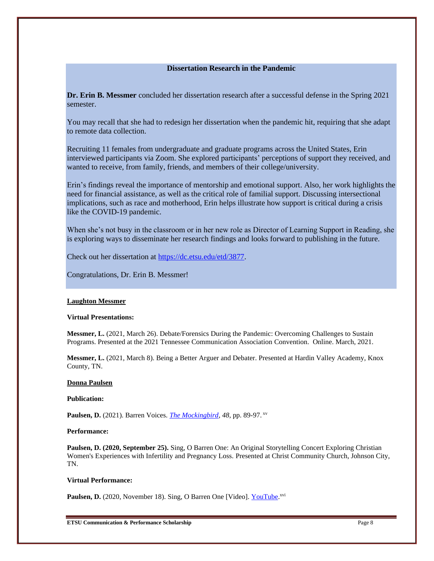# **Dissertation Research in the Pandemic**

**Dr. Erin B. Messmer** concluded her dissertation research after a successful defense in the Spring 2021 semester.

You may recall that she had to redesign her dissertation when the pandemic hit, requiring that she adapt to remote data collection.

Recruiting 11 females from undergraduate and graduate programs across the United States, Erin interviewed participants via Zoom. She explored participants' perceptions of support they received, and wanted to receive, from family, friends, and members of their college/university.

Erin's findings reveal the importance of mentorship and emotional support. Also, her work highlights the need for financial assistance, as well as the critical role of familial support. Discussing intersectional implications, such as race and motherhood, Erin helps illustrate how support is critical during a crisis like the COVID-19 pandemic.

When she's not busy in the classroom or in her new role as Director of Learning Support in Reading, she is exploring ways to disseminate her research findings and looks forward to publishing in the future.

Check out her dissertation at [https://dc.etsu.edu/etd/3877.](https://dc.etsu.edu/etd/3877)

Congratulations, Dr. Erin B. Messmer!

#### **Laughton Messmer**

#### **Virtual Presentations:**

**Messmer, L.** (2021, March 26). Debate/Forensics During the Pandemic: Overcoming Challenges to Sustain Programs. Presented at the 2021 Tennessee Communication Association Convention. Online. March, 2021.

**Messmer, L.** (2021, March 8). Being a Better Arguer and Debater. Presented at Hardin Valley Academy, Knox County, TN.

#### **Donna Paulsen**

#### **Publication:**

**Paulsen, D.** (2021). Barren Voices. *[The Mockingbird,](https://www.etsu.edu/cas/litlang/mockingbird/documents/mockingbird2021.pdf) 48,* pp. 89-97. xv

#### **Performance:**

**Paulsen, D. (2020, September 25).** Sing, O Barren One: An Original Storytelling Concert Exploring Christian Women's Experiences with Infertility and Pregnancy Loss. Presented at Christ Community Church, Johnson City, TN.

#### **Virtual Performance:**

Paulsen, D. (2020, November 18). Sing, O Barren One [Video][. YouTube.](https://www.youtube.com/watch?v=rEy0AibmKUg)<sup>xvi</sup>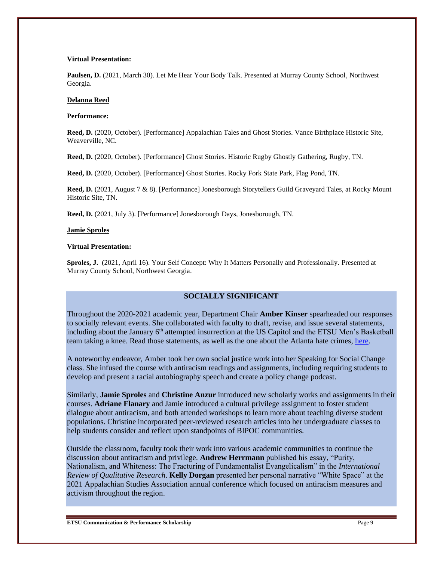#### **Virtual Presentation:**

**Paulsen, D.** (2021, March 30). Let Me Hear Your Body Talk. Presented at Murray County School, Northwest Georgia.

#### **Delanna Reed**

#### **Performance:**

**Reed, D.** (2020, October). [Performance] Appalachian Tales and Ghost Stories. Vance Birthplace Historic Site, Weaverville, NC.

**Reed, D.** (2020, October). [Performance] Ghost Stories*.* Historic Rugby Ghostly Gathering, Rugby, TN.

**Reed, D.** (2020, October). [Performance] Ghost Stories. Rocky Fork State Park, Flag Pond, TN.

**Reed, D.** (2021, August 7 & 8). [Performance] Jonesborough Storytellers Guild Graveyard Tales, at Rocky Mount Historic Site, TN.

**Reed, D.** (2021, July 3). [Performance] Jonesborough Days, Jonesborough, TN.

#### **Jamie Sproles**

#### **Virtual Presentation:**

**Sproles, J.** (2021, April 16). Your Self Concept: Why It Matters Personally and Professionally. Presented at Murray County School, Northwest Georgia.

# **SOCIALLY SIGNIFICANT**

Throughout the 2020-2021 academic year, Department Chair **Amber Kinser** spearheaded our responses to socially relevant events. She collaborated with faculty to draft, revise, and issue several statements, including about the January 6<sup>th</sup> attempted insurrection at the US Capitol and the ETSU Men's Basketball team taking a knee. Read those statements, as well as the one about the Atlanta hate crimes[, here.](https://www.etsu.edu/cas/comm_perform/dept_news.php)

A noteworthy endeavor, Amber took her own social justice work into her Speaking for Social Change class. She infused the course with antiracism readings and assignments, including requiring students to develop and present a racial autobiography speech and create a policy change podcast.

Similarly, **Jamie Sproles** and **Christine Anzur** introduced new scholarly works and assignments in their courses. **Adriane Flanary** and Jamie introduced a cultural privilege assignment to foster student dialogue about antiracism, and both attended workshops to learn more about teaching diverse student populations. Christine incorporated peer-reviewed research articles into her undergraduate classes to help students consider and reflect upon standpoints of BIPOC communities.

Outside the classroom, faculty took their work into various academic communities to continue the discussion about antiracism and privilege. **Andrew Herrmann** published his essay, "Purity, Nationalism, and Whiteness: The Fracturing of Fundamentalist Evangelicalism" in the *International Review of Qualitative Research*. **Kelly Dorgan** presented her personal narrative "White Space" at the 2021 Appalachian Studies Association annual conference which focused on antiracism measures and activism throughout the region.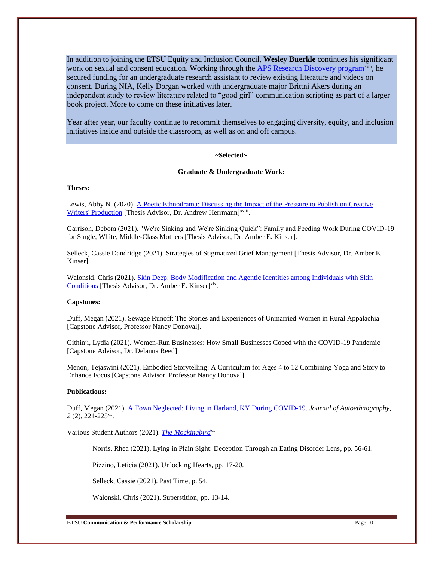In addition to joining the ETSU Equity and Inclusion Council, **Wesley Buerkle** continues his significant work on sexual and consent education. Working through th[e APS Research Discovery program](https://www.etsu.edu/honors/ug_research/funding/discovery.php)<sup>xvii</sup>, he secured funding for an undergraduate research assistant to review existing literature and videos on consent. During NIA, Kelly Dorgan worked with undergraduate major Brittni Akers during an independent study to review literature related to "good girl" communication scripting as part of a larger book project. More to come on these initiatives later.

Year after year, our faculty continue to recommit themselves to engaging diversity, equity, and inclusion initiatives inside and outside the classroom, as well as on and off campus.

# **~Selected~**

#### **Graduate & Undergraduate Work:**

#### **Theses:**

Lewis, Abby N. (2020)[. A Poetic Ethnodrama: Discussing the Impact of the Pressure to Publish on Creative](https://dc.etsu.edu/etd/3690/)  [Writers' Production](https://dc.etsu.edu/etd/3690/) [Thesis Advisor, Dr. Andrew Herrmann]<sup>xviii</sup>.

Garrison, Debora (2021). "We're Sinking and We're Sinking Quick": Family and Feeding Work During COVID-19 for Single, White, Middle-Class Mothers [Thesis Advisor, Dr. Amber E. Kinser].

Selleck, Cassie Dandridge (2021). Strategies of Stigmatized Grief Management [Thesis Advisor, Dr. Amber E. Kinser].

Walonski, Chris (2021). Skin Deep: Body Modification and Agentic Identities among Individuals with Skin [Conditions](https://dc.etsu.edu/etd/3906/) [Thesis Advisor, Dr. Amber E. Kinser]<sup>xix</sup>.

#### **Capstones:**

Duff, Megan (2021). Sewage Runoff: The Stories and Experiences of Unmarried Women in Rural Appalachia [Capstone Advisor, Professor Nancy Donoval].

Githinji, Lydia (2021). Women-Run Businesses: How Small Businesses Coped with the COVID-19 Pandemic [Capstone Advisor, Dr. Delanna Reed]

Menon, Tejaswini (2021). Embodied Storytelling: A Curriculum for Ages 4 to 12 Combining Yoga and Story to Enhance Focus [Capstone Advisor, Professor Nancy Donoval].

### **Publications:**

Duff, Megan (2021). [A Town Neglected: Living in Harland, KY During COVID-19.](https://online.ucpress.edu/joae/article/2/2/221/116630/A-Town-NeglectedLiving-in-Harlan-Kentucky-during) *Journal of Autoethnography,*  2 (2), 221-225<sup>xx</sup>.

Various Student Authors (2021). *[The Mockingbird](https://www.etsu.edu/cas/litlang/mockingbird/documents/mockingbird2021.pdf)xxi* 

Norris, Rhea (2021). Lying in Plain Sight: Deception Through an Eating Disorder Lens, pp. 56-61.

Pizzino, Leticia (2021). Unlocking Hearts, pp. 17-20.

Selleck, Cassie (2021). Past Time, p. 54.

Walonski, Chris (2021). Superstition, pp. 13-14.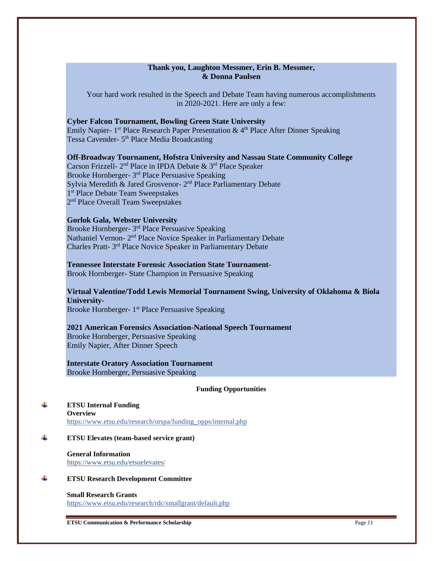# **Thank you, Laughton Messmer, Erin B. Messmer, & Donna Paulsen**

Your hard work resulted in the Speech and Debate Team having numerous accomplishments in 2020-2021. Here are only a few:

## **Cyber Falcon Tournament, Bowling Green State University**

Emily Napier-  $1<sup>st</sup>$  Place Research Paper Presentation &  $4<sup>th</sup>$  Place After Dinner Speaking Tessa Cavender- 5<sup>th</sup> Place Media Broadcasting

### **Off-Broadway Tournament, Hofstra University and Nassau State Community College**

Carson Frizzell- 2<sup>nd</sup> Place in IPDA Debate & 3<sup>rd</sup> Place Speaker Brooke Hornberger- 3<sup>rd</sup> Place Persuasive Speaking Sylvia Meredith & Jared Grosvenor- 2<sup>nd</sup> Place Parliamentary Debate 1 st Place Debate Team Sweepstakes 2<sup>nd</sup> Place Overall Team Sweepstakes

#### **Gorlok Gala, Webster University**

Brooke Hornberger- 3<sup>rd</sup> Place Persuasive Speaking Nathaniel Vernon- 2<sup>nd</sup> Place Novice Speaker in Parliamentary Debate Charles Pratt- 3<sup>rd</sup> Place Novice Speaker in Parliamentary Debate

# **Tennessee Interstate Forensic Association State Tournament**-

Brook Hornberger- State Champion in Persuasive Speaking

# **Virtual Valentine/Todd Lewis Memorial Tournament Swing, University of Oklahoma & Biola University**-

Brooke Hornberger- 1<sup>st</sup> Place Persuasive Speaking

# **2021 American Forensics Association-National Speech Tournament**

Brooke Hornberger, Persuasive Speaking Emily Napier, After Dinner Speech

#### **Interstate Oratory Association Tournament** Brooke Hornberger, Persuasive Speaking

#### **Funding Opportunities**

÷ **ETSU Internal Funding Overview** [https://www.etsu.edu/research/orspa/funding\\_opps/internal.php](https://www.etsu.edu/research/orspa/funding_opps/internal.php)

#### 4 **ETSU Elevates (team-based service grant)**

**General Information** <https://www.etsu.edu/etsuelevates/>

#### 4. **ETSU Research Development Committee**

**Small Research Grants** <https://www.etsu.edu/research/rdc/smallgrant/default.php>

**ETSU Communication & Performance Scholarship** Page 11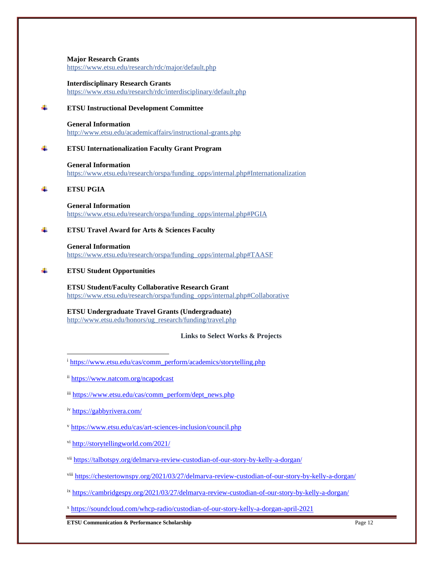#### **Major Research Grants** <https://www.etsu.edu/research/rdc/major/default.php>

#### **Interdisciplinary Research Grants** <https://www.etsu.edu/research/rdc/interdisciplinary/default.php>

#### 4 **ETSU Instructional Development Committee**

**General Information** <http://www.etsu.edu/academicaffairs/instructional-grants.php>

#### ÷. **ETSU Internationalization Faculty Grant Program**

**General Information** [https://www.etsu.edu/research/orspa/funding\\_opps/internal.php#Internationalization](https://www.etsu.edu/research/orspa/funding_opps/internal.php#Internationalization)

#### d. **ETSU PGIA**

**General Information** [https://www.etsu.edu/research/orspa/funding\\_opps/internal.php#PGIA](https://www.etsu.edu/research/orspa/funding_opps/internal.php#PGIA)

#### d. **ETSU Travel Award for Arts & Sciences Faculty**

**General Information** [https://www.etsu.edu/research/orspa/funding\\_opps/internal.php#TAASF](https://www.etsu.edu/research/orspa/funding_opps/internal.php#TAASF)

#### **ETSU Student Opportunities**

**ETSU Student/Faculty Collaborative Research Grant** [https://www.etsu.edu/research/orspa/funding\\_opps/internal.php#Collaborative](https://www.etsu.edu/research/orspa/funding_opps/internal.php#Collaborative)

**ETSU Undergraduate Travel Grants (Undergraduate)**

[http://www.etsu.edu/honors/ug\\_research/funding/travel.php](http://www.etsu.edu/honors/ug_research/funding/travel.php)

## **Links to Select Works & Projects**

- iii [https://www.etsu.edu/cas/comm\\_perform/dept\\_news.php](https://www.etsu.edu/cas/comm_perform/dept_news.php)
- iv <https://gabbyrivera.com/>
- <sup>v</sup> <https://www.etsu.edu/cas/art-sciences-inclusion/council.php>
- vi <http://storytellingworld.com/2021/>

vii <https://talbotspy.org/delmarva-review-custodian-of-our-story-by-kelly-a-dorgan/>

viii <https://chestertownspy.org/2021/03/27/delmarva-review-custodian-of-our-story-by-kelly-a-dorgan/>

ix <https://cambridgespy.org/2021/03/27/delmarva-review-custodian-of-our-story-by-kelly-a-dorgan/>

<sup>x</sup> <https://soundcloud.com/whcp-radio/custodian-of-our-story-kelly-a-dorgan-april-2021>

**ETSU Communication & Performance Scholarship** Page 12

<sup>i</sup> [https://www.etsu.edu/cas/comm\\_perform/academics/storytelling.php](https://www.etsu.edu/cas/comm_perform/academics/storytelling.php)

ii <https://www.natcom.org/ncapodcast>